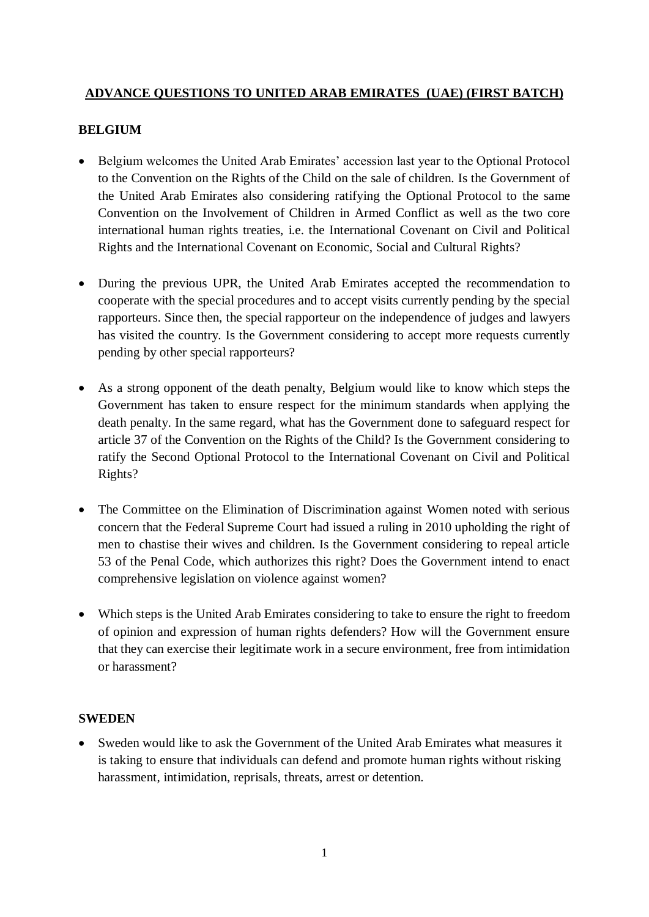## **ADVANCE QUESTIONS TO UNITED ARAB EMIRATES (UAE) (FIRST BATCH)**

## **BELGIUM**

- Belgium welcomes the United Arab Emirates' accession last year to the Optional Protocol to the Convention on the Rights of the Child on the sale of children. Is the Government of the United Arab Emirates also considering ratifying the Optional Protocol to the same Convention on the Involvement of Children in Armed Conflict as well as the two core international human rights treaties, i.e. the International Covenant on Civil and Political Rights and the International Covenant on Economic, Social and Cultural Rights?
- During the previous UPR, the United Arab Emirates accepted the recommendation to cooperate with the special procedures and to accept visits currently pending by the special rapporteurs. Since then, the special rapporteur on the independence of judges and lawyers has visited the country. Is the Government considering to accept more requests currently pending by other special rapporteurs?
- As a strong opponent of the death penalty, Belgium would like to know which steps the Government has taken to ensure respect for the minimum standards when applying the death penalty. In the same regard, what has the Government done to safeguard respect for article 37 of the Convention on the Rights of the Child? Is the Government considering to ratify the Second Optional Protocol to the International Covenant on Civil and Political Rights?
- The Committee on the Elimination of Discrimination against Women noted with serious concern that the Federal Supreme Court had issued a ruling in 2010 upholding the right of men to chastise their wives and children. Is the Government considering to repeal article 53 of the Penal Code, which authorizes this right? Does the Government intend to enact comprehensive legislation on violence against women?
- Which steps is the United Arab Emirates considering to take to ensure the right to freedom of opinion and expression of human rights defenders? How will the Government ensure that they can exercise their legitimate work in a secure environment, free from intimidation or harassment?

## **SWEDEN**

• Sweden would like to ask the Government of the United Arab Emirates what measures it is taking to ensure that individuals can defend and promote human rights without risking harassment, intimidation, reprisals, threats, arrest or detention.